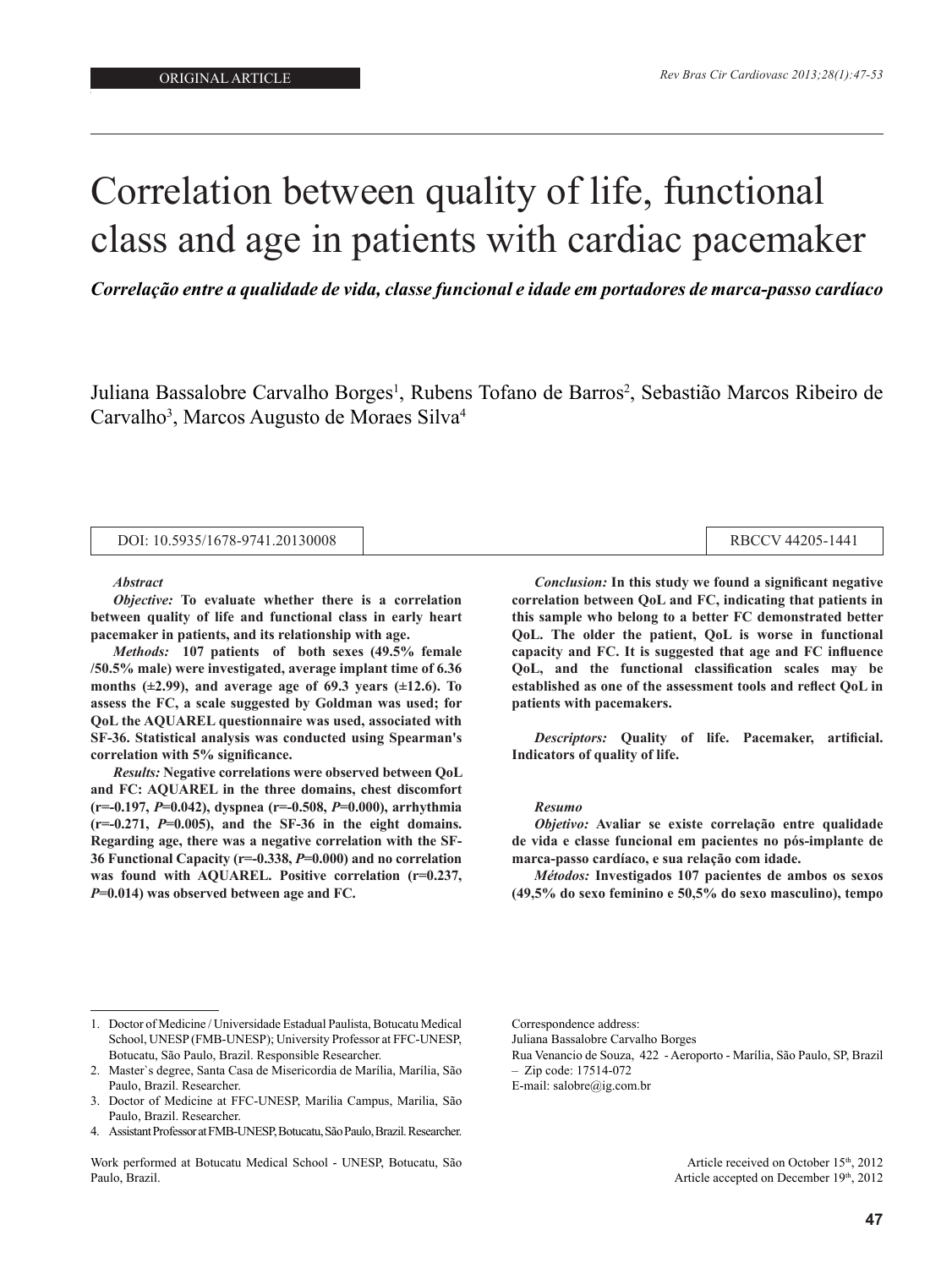# Correlation between quality of life, functional class and age in patients with cardiac pacemaker

*Correlação entre a qualidade de vida, classe funcional e idade em portadores de marca-passo cardíaco*

Juliana Bassalobre Carvalho Borges<sup>1</sup>, Rubens Tofano de Barros<sup>2</sup>, Sebastião Marcos Ribeiro de Carvalho<sup>3</sup>, Marcos Augusto de Moraes Silva<sup>4</sup>

| DOI: 10.5935/1678-9741.20130008 |
|---------------------------------|
|---------------------------------|

#### *Abstract*

*Objective:* **To evaluate whether there is a correlation between quality of life and functional class in early heart pacemaker in patients, and its relationship with age.** 

*Methods:* **107 patients of both sexes (49.5% female /50.5% male) were investigated, average implant time of 6.36 months (±2.99), and average age of 69.3 years (±12.6). To assess the FC, a scale suggested by Goldman was used; for QoL the AQUAREL questionnaire was used, associated with SF-36. Statistical analysis was conducted using Spearman's correlation with 5% significance.** 

*Results:* **Negative correlations were observed between QoL and FC: AQUAREL in the three domains, chest discomfort (r=-0.197,** *P***=0.042), dyspnea (r=-0.508,** *P***=0.000), arrhythmia**   $(r=-0.271, P=0.005)$ , and the SF-36 in the eight domains. **Regarding age, there was a negative correlation with the SF-36 Functional Capacity (r=-0.338,** *P***=0.000) and no correlation was found with AQUAREL. Positive correlation (r=0.237,**  *P***=0.014) was observed between age and FC.** 

*Conclusion:* **In this study we found a significant negative correlation between QoL and FC, indicating that patients in this sample who belong to a better FC demonstrated better QoL. The older the patient, QoL is worse in functional capacity and FC. It is suggested that age and FC influence QoL, and the functional classification scales may be established as one of the assessment tools and reflect QoL in patients with pacemakers.**

RBCCV 44205-1441

*Descriptors:* **Quality of life. Pacemaker, artificial. Indicators of quality of life.**

#### *Resumo*

*Objetivo:* **Avaliar se existe correlação entre qualidade de vida e classe funcional em pacientes no pós-implante de marca-passo cardíaco, e sua relação com idade.** 

*Métodos:* **Investigados 107 pacientes de ambos os sexos (49,5% do sexo feminino e 50,5% do sexo masculino), tempo** 

Work performed at Botucatu Medical School - UNESP, Botucatu, São Paulo, Brazil.

Juliana Bassalobre Carvalho Borges

E-mail: salobre@ig.com.br

Article received on October 15th, 2012 Article accepted on December 19th, 2012

<sup>1.</sup> Doctor of Medicine / Universidade Estadual Paulista, Botucatu Medical School, UNESP (FMB-UNESP); University Professor at FFC-UNESP, Botucatu, São Paulo, Brazil. Responsible Researcher.

<sup>2.</sup> Master`s degree, Santa Casa de Misericordia de Marília, Marília, São Paulo, Brazil. Researcher.

<sup>3.</sup> Doctor of Medicine at FFC-UNESP, Marilia Campus, Marilia, São Paulo, Brazil. Researcher.

<sup>4.</sup> Assistant Professor at FMB-UNESP, Botucatu, São Paulo, Brazil. Researcher.

Correspondence address:

Rua Venancio de Souza, 422 - Aeroporto - Marília, São Paulo, SP, Brazil – Zip code: 17514-072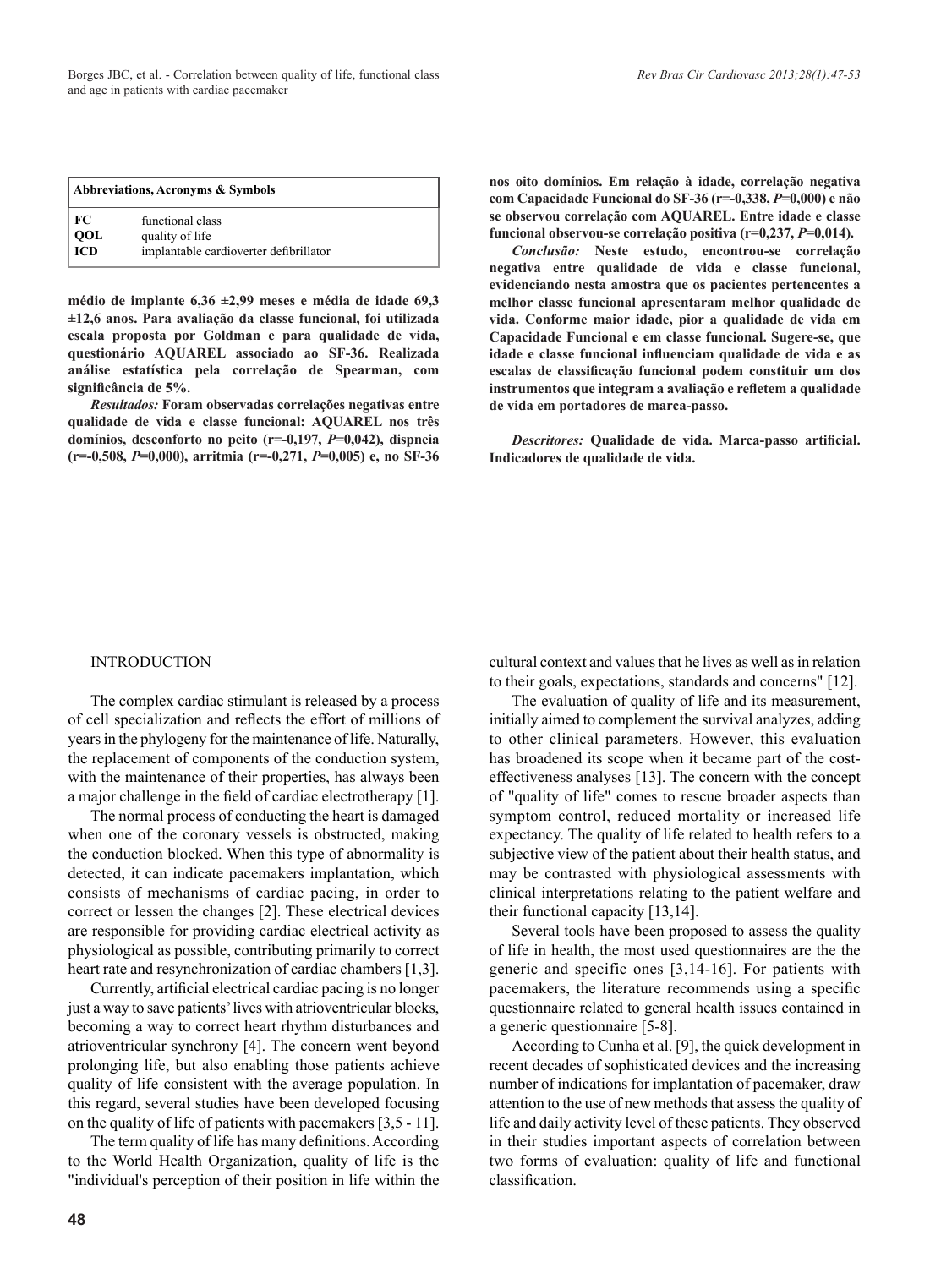| Abbreviations, Acronyms & Symbols |                                                                               |  |  |  |
|-----------------------------------|-------------------------------------------------------------------------------|--|--|--|
| FC<br>QOL<br>ICD                  | functional class<br>quality of life<br>implantable cardioverter defibrillator |  |  |  |

**médio de implante 6,36 ±2,99 meses e média de idade 69,3 ±12,6 anos. Para avaliação da classe funcional, foi utilizada escala proposta por Goldman e para qualidade de vida, questionário AQUAREL associado ao SF-36. Realizada análise estatística pela correlação de Spearman, com significância de 5%.** 

*Resultados:* **Foram observadas correlações negativas entre qualidade de vida e classe funcional: AQUAREL nos três domínios, desconforto no peito (r=-0,197,** *P***=0,042), dispneia (r=-0,508,** *P***=0,000), arritmia (r=-0,271,** *P***=0,005) e, no SF-36**  **nos oito domínios. Em relação à idade, correlação negativa com Capacidade Funcional do SF-36 (r=-0,338,** *P***=0,000) e não se observou correlação com AQUAREL. Entre idade e classe funcional observou-se correlação positiva (r=0,237,** *P***=0,014).** 

*Conclusão:* **Neste estudo, encontrou-se correlação negativa entre qualidade de vida e classe funcional, evidenciando nesta amostra que os pacientes pertencentes a melhor classe funcional apresentaram melhor qualidade de vida. Conforme maior idade, pior a qualidade de vida em Capacidade Funcional e em classe funcional. Sugere-se, que idade e classe funcional influenciam qualidade de vida e as escalas de classificação funcional podem constituir um dos instrumentos que integram a avaliação e refletem a qualidade de vida em portadores de marca-passo.**

*Descritores:* **Qualidade de vida. Marca-passo artificial. Indicadores de qualidade de vida.**

#### INTRODUCTION

The complex cardiac stimulant is released by a process of cell specialization and reflects the effort of millions of years in the phylogeny for the maintenance of life. Naturally, the replacement of components of the conduction system, with the maintenance of their properties, has always been a major challenge in the field of cardiac electrotherapy [1].

The normal process of conducting the heart is damaged when one of the coronary vessels is obstructed, making the conduction blocked. When this type of abnormality is detected, it can indicate pacemakers implantation, which consists of mechanisms of cardiac pacing, in order to correct or lessen the changes [2]. These electrical devices are responsible for providing cardiac electrical activity as physiological as possible, contributing primarily to correct heart rate and resynchronization of cardiac chambers [1,3].

Currently, artificial electrical cardiac pacing is no longer just a way to save patients' lives with atrioventricular blocks, becoming a way to correct heart rhythm disturbances and atrioventricular synchrony [4]. The concern went beyond prolonging life, but also enabling those patients achieve quality of life consistent with the average population. In this regard, several studies have been developed focusing on the quality of life of patients with pacemakers [3,5 - 11].

The term quality of life has many definitions. According to the World Health Organization, quality of life is the "individual's perception of their position in life within the cultural context and values that he lives as well as in relation to their goals, expectations, standards and concerns" [12].

The evaluation of quality of life and its measurement, initially aimed to complement the survival analyzes, adding to other clinical parameters. However, this evaluation has broadened its scope when it became part of the costeffectiveness analyses [13]. The concern with the concept of "quality of life" comes to rescue broader aspects than symptom control, reduced mortality or increased life expectancy. The quality of life related to health refers to a subjective view of the patient about their health status, and may be contrasted with physiological assessments with clinical interpretations relating to the patient welfare and their functional capacity [13,14].

Several tools have been proposed to assess the quality of life in health, the most used questionnaires are the the generic and specific ones [3,14-16]. For patients with pacemakers, the literature recommends using a specific questionnaire related to general health issues contained in a generic questionnaire [5-8].

According to Cunha et al. [9], the quick development in recent decades of sophisticated devices and the increasing number of indications for implantation of pacemaker, draw attention to the use of new methods that assess the quality of life and daily activity level of these patients. They observed in their studies important aspects of correlation between two forms of evaluation: quality of life and functional classification.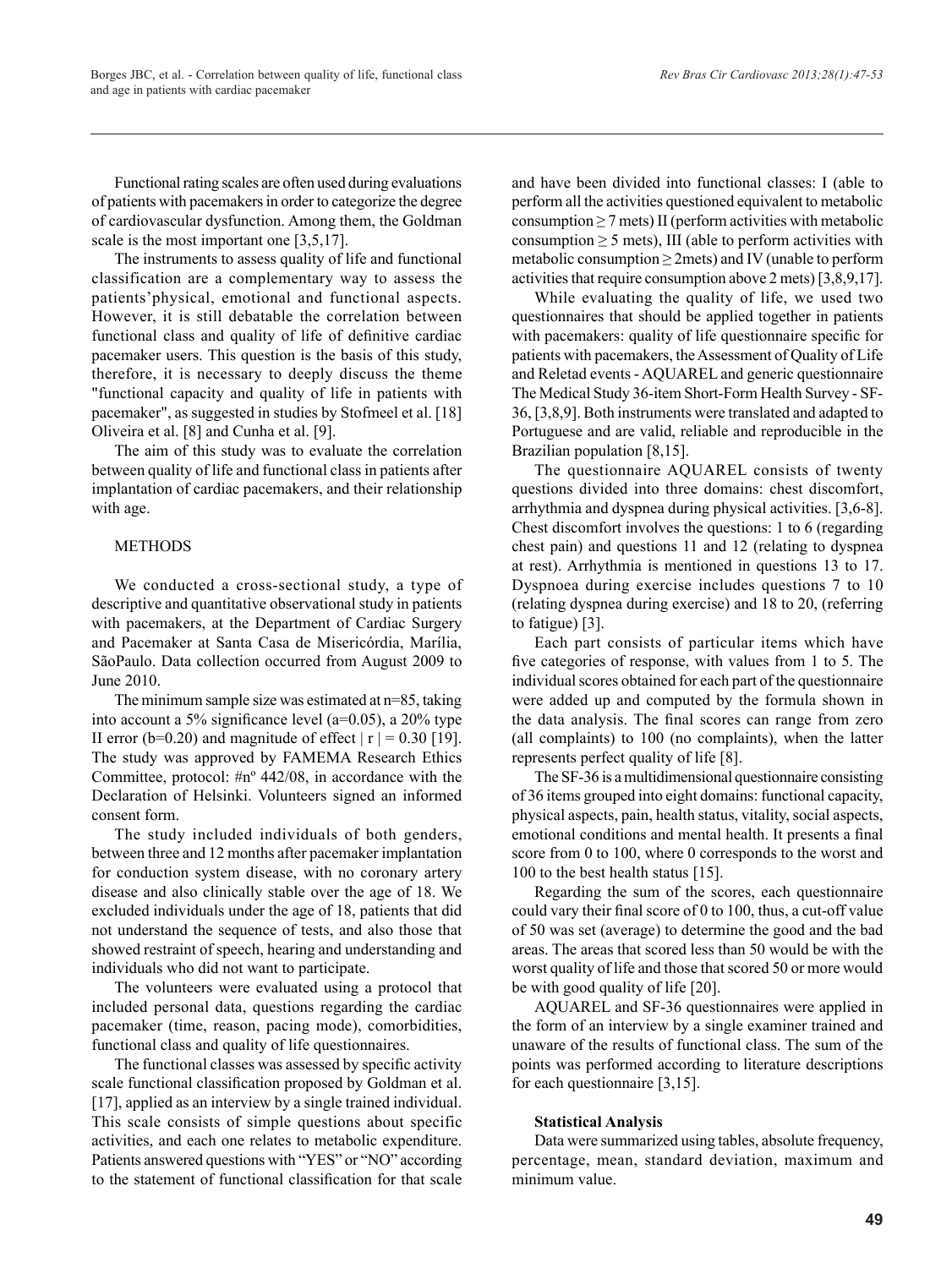Functional rating scales are often used during evaluations of patients with pacemakers in order to categorize the degree of cardiovascular dysfunction. Among them, the Goldman scale is the most important one [3,5,17].

The instruments to assess quality of life and functional classification are a complementary way to assess the patients'physical, emotional and functional aspects. However, it is still debatable the correlation between functional class and quality of life of definitive cardiac pacemaker users. This question is the basis of this study, therefore, it is necessary to deeply discuss the theme "functional capacity and quality of life in patients with pacemaker", as suggested in studies by Stofmeel et al. [18] Oliveira et al. [8] and Cunha et al. [9].

The aim of this study was to evaluate the correlation between quality of life and functional class in patients after implantation of cardiac pacemakers, and their relationship with age.

## **METHODS**

We conducted a cross-sectional study, a type of descriptive and quantitative observational study in patients with pacemakers, at the Department of Cardiac Surgery and Pacemaker at Santa Casa de Misericórdia, Marília, SãoPaulo. Data collection occurred from August 2009 to June 2010.

The minimum sample size was estimated at n=85, taking into account a 5% significance level (a=0.05), a 20% type II error (b=0.20) and magnitude of effect  $|r| = 0.30$  [19]. The study was approved by FAMEMA Research Ethics Committee, protocol: #nº 442/08, in accordance with the Declaration of Helsinki. Volunteers signed an informed consent form.

The study included individuals of both genders, between three and 12 months after pacemaker implantation for conduction system disease, with no coronary artery disease and also clinically stable over the age of 18. We excluded individuals under the age of 18, patients that did not understand the sequence of tests, and also those that showed restraint of speech, hearing and understanding and individuals who did not want to participate.

The volunteers were evaluated using a protocol that included personal data, questions regarding the cardiac pacemaker (time, reason, pacing mode), comorbidities, functional class and quality of life questionnaires.

The functional classes was assessed by specific activity scale functional classification proposed by Goldman et al. [17], applied as an interview by a single trained individual. This scale consists of simple questions about specific activities, and each one relates to metabolic expenditure. Patients answered questions with "YES" or "NO" according to the statement of functional classification for that scale

and have been divided into functional classes: I (able to perform all the activities questioned equivalent to metabolic consumption  $\geq$  7 mets) II (perform activities with metabolic consumption  $\geq$  5 mets), III (able to perform activities with metabolic consumption  $\geq$  2mets) and IV (unable to perform activities that require consumption above 2 mets) [3,8,9,17].

While evaluating the quality of life, we used two questionnaires that should be applied together in patients with pacemakers: quality of life questionnaire specific for patients with pacemakers, the Assessment of Quality of Life and Reletad events - AQUAREL and generic questionnaire The Medical Study 36-item Short-Form Health Survey - SF-36, [3,8,9]. Both instruments were translated and adapted to Portuguese and are valid, reliable and reproducible in the Brazilian population [8,15].

The questionnaire AQUAREL consists of twenty questions divided into three domains: chest discomfort, arrhythmia and dyspnea during physical activities. [3,6-8]. Chest discomfort involves the questions: 1 to 6 (regarding chest pain) and questions 11 and 12 (relating to dyspnea at rest). Arrhythmia is mentioned in questions 13 to 17. Dyspnoea during exercise includes questions 7 to 10 (relating dyspnea during exercise) and 18 to 20, (referring to fatigue) [3].

Each part consists of particular items which have five categories of response, with values from 1 to 5. The individual scores obtained for each part of the questionnaire were added up and computed by the formula shown in the data analysis. The final scores can range from zero (all complaints) to 100 (no complaints), when the latter represents perfect quality of life [8].

The SF-36 is a multidimensional questionnaire consisting of 36 items grouped into eight domains: functional capacity, physical aspects, pain, health status, vitality, social aspects, emotional conditions and mental health. It presents a final score from 0 to 100, where 0 corresponds to the worst and 100 to the best health status [15].

Regarding the sum of the scores, each questionnaire could vary their final score of 0 to 100, thus, a cut-off value of 50 was set (average) to determine the good and the bad areas. The areas that scored less than 50 would be with the worst quality of life and those that scored 50 or more would be with good quality of life [20].

AQUAREL and SF-36 questionnaires were applied in the form of an interview by a single examiner trained and unaware of the results of functional class. The sum of the points was performed according to literature descriptions for each questionnaire [3,15].

#### **Statistical Analysis**

Data were summarized using tables, absolute frequency, percentage, mean, standard deviation, maximum and minimum value.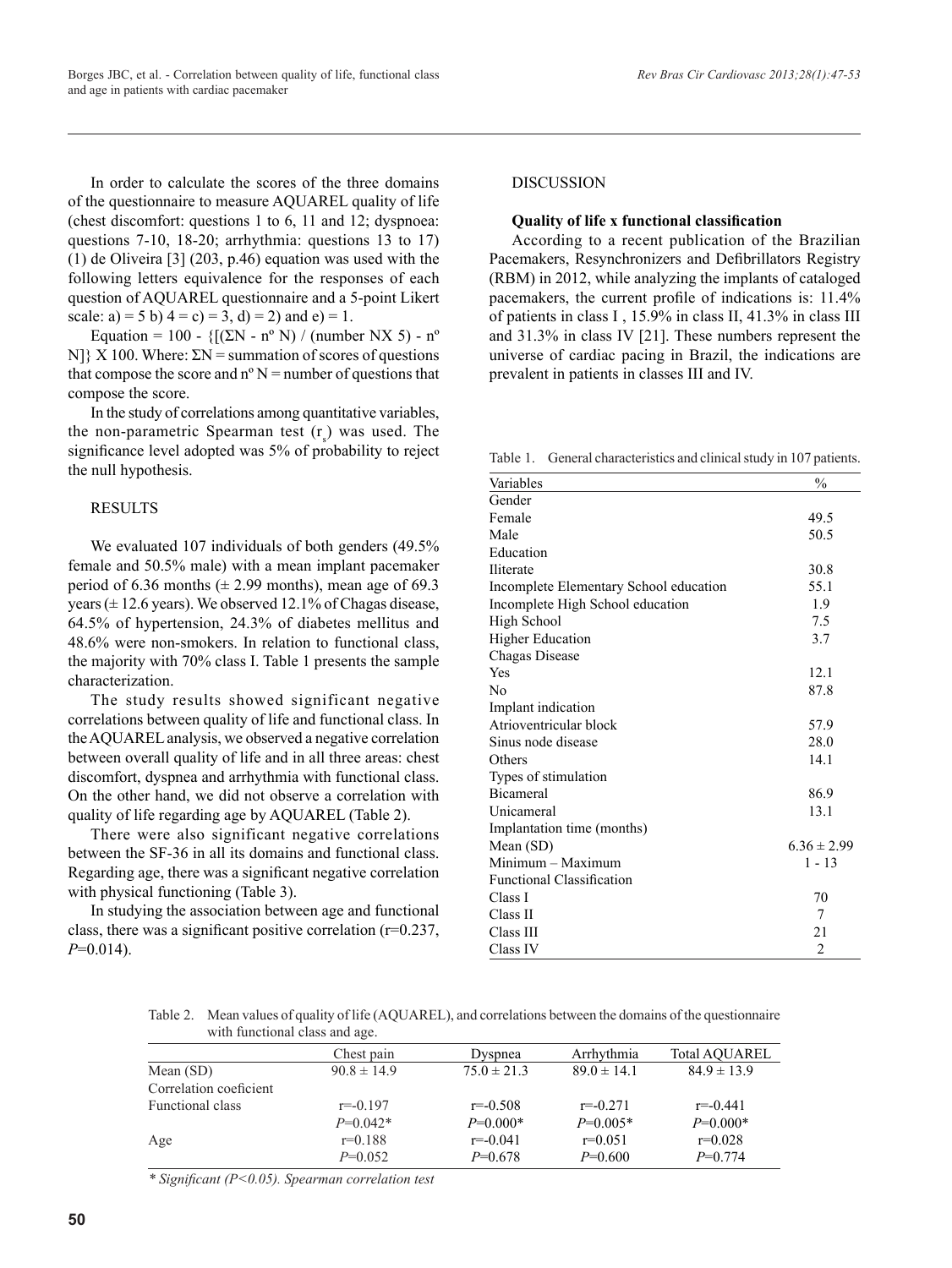In order to calculate the scores of the three domains of the questionnaire to measure AQUAREL quality of life (chest discomfort: questions 1 to 6, 11 and 12; dyspnoea: questions 7-10, 18-20; arrhythmia: questions 13 to 17) (1) de Oliveira [3] (203, p.46) equation was used with the following letters equivalence for the responses of each question of AQUAREL questionnaire and a 5-point Likert

scale: a) = 5 b)  $4 = c$ ) = 3, d) = 2) and e) = 1.

Equation = 100 -  ${[(\Sigma N - n^{\circ} N) / (number N X 5) - n^{\circ}]}$ N]  $\{X\}$  100. Where:  $\Sigma N =$  summation of scores of questions that compose the score and  $n^{\circ}$  N = number of questions that compose the score.

In the study of correlations among quantitative variables, the non-parametric Spearman test  $(r<sub>s</sub>)$  was used. The significance level adopted was 5% of probability to reject the null hypothesis.

## RESULTS

We evaluated 107 individuals of both genders (49.5% female and 50.5% male) with a mean implant pacemaker period of 6.36 months ( $\pm$  2.99 months), mean age of 69.3 years ( $\pm$  12.6 years). We observed 12.1% of Chagas disease, 64.5% of hypertension, 24.3% of diabetes mellitus and 48.6% were non-smokers. In relation to functional class, the majority with 70% class I. Table 1 presents the sample characterization.

The study results showed significant negative correlations between quality of life and functional class. In the AQUAREL analysis, we observed a negative correlation between overall quality of life and in all three areas: chest discomfort, dyspnea and arrhythmia with functional class. On the other hand, we did not observe a correlation with quality of life regarding age by AQUAREL (Table 2).

There were also significant negative correlations between the SF-36 in all its domains and functional class. Regarding age, there was a significant negative correlation with physical functioning (Table 3).

In studying the association between age and functional class, there was a significant positive correlation (r=0.237, *P*=0.014).

# DISCUSSION

### **Quality of life x functional classification**

According to a recent publication of the Brazilian Pacemakers, Resynchronizers and Defibrillators Registry (RBM) in 2012, while analyzing the implants of cataloged pacemakers, the current profile of indications is: 11.4% of patients in class I , 15.9% in class II, 41.3% in class III and 31.3% in class IV [21]. These numbers represent the universe of cardiac pacing in Brazil, the indications are prevalent in patients in classes III and IV.

Table 1. General characteristics and clinical study in 107 patients.

| Variables                              | $\%$            |
|----------------------------------------|-----------------|
| Gender                                 |                 |
| Female                                 | 49.5            |
| Male                                   | 50.5            |
| Education                              |                 |
| Iliterate                              | 30.8            |
| Incomplete Elementary School education | 55.1            |
| Incomplete High School education       | 1.9             |
| High School                            | 7.5             |
| <b>Higher Education</b>                | 3.7             |
| Chagas Disease                         |                 |
| Yes                                    | 12.1            |
| No                                     | 87.8            |
| Implant indication                     |                 |
| Atrioventricular block                 | 57.9            |
| Sinus node disease                     | 28.0            |
| Others                                 | 14.1            |
| Types of stimulation                   |                 |
| <b>Bicameral</b>                       | 86.9            |
| Unicameral                             | 13.1            |
| Implantation time (months)             |                 |
| Mean (SD)                              | $6.36 \pm 2.99$ |
| Minimum - Maximum                      | 1 - 13          |
| <b>Functional Classification</b>       |                 |
| Class I                                | 70              |
| Class II                               | 7               |
| Class III                              | 21              |
| Class IV                               | $\overline{2}$  |

Table 2. Mean values of quality of life (AQUAREL), and correlations between the domains of the questionnaire with functional class and age.

|                        | Chest pain      | <b>D</b> yspnea | Arrhythmia      | <b>Total AOUAREL</b> |
|------------------------|-----------------|-----------------|-----------------|----------------------|
| Mean $(SD)$            | $90.8 \pm 14.9$ | $75.0 \pm 21.3$ | $89.0 \pm 14.1$ | $84.9 \pm 13.9$      |
| Correlation coeficient |                 |                 |                 |                      |
| Functional class       | $r = -0.197$    | $r = -0.508$    | $r = -0.271$    | $r = -0.441$         |
|                        | $P=0.042*$      | $P=0.000*$      | $P=0.005*$      | $P=0.000*$           |
| Age                    | $r=0.188$       | $r = -0.041$    | $r=0.051$       | $r=0.028$            |
|                        | $P=0.052$       | $P=0.678$       | $P=0.600$       | $P=0.774$            |

*\* Significant (P<0.05). Spearman correlation test*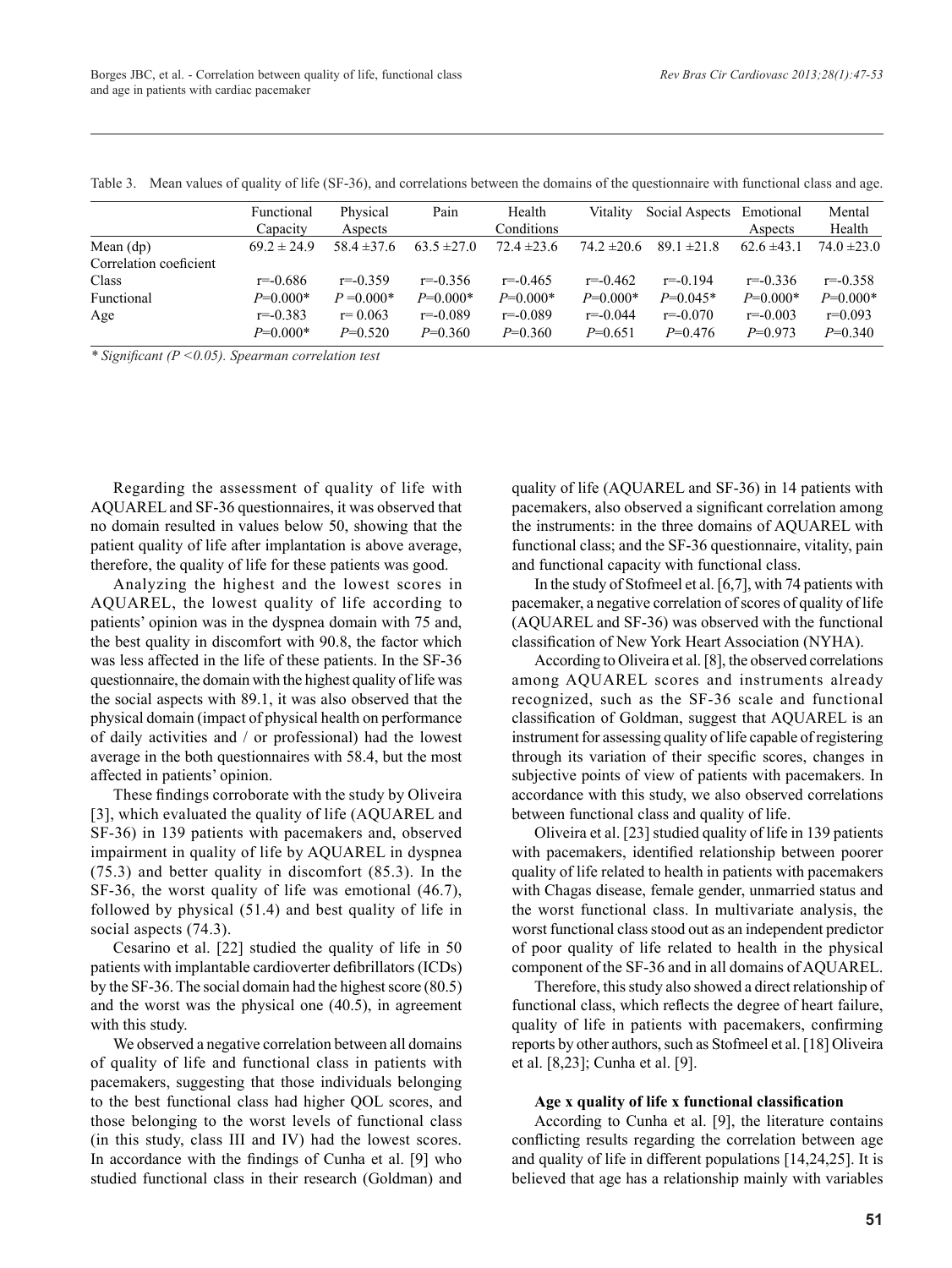|                        | Functional      | Physical        | Pain            | Health          | Vitality        | Social Aspects Emotional |                 | Mental          |
|------------------------|-----------------|-----------------|-----------------|-----------------|-----------------|--------------------------|-----------------|-----------------|
|                        | Capacity        | Aspects         |                 | Conditions      |                 |                          | Aspects         | Health          |
| Mean $(dp)$            | $69.2 \pm 24.9$ | $58.4 \pm 37.6$ | $63.5 \pm 27.0$ | $72.4 \pm 23.6$ | $74.2 \pm 20.6$ | $89.1 \pm 21.8$          | $62.6 \pm 43.1$ | $74.0 \pm 23.0$ |
| Correlation coeficient |                 |                 |                 |                 |                 |                          |                 |                 |
| Class                  | $r = -0.686$    | $r = -0.359$    | $r = -0.356$    | $r = -0.465$    | $r = -0.462$    | $r = -0.194$             | $r = -0.336$    | $r = -0.358$    |
| Functional             | $P=0.000*$      | $P = 0.000*$    | $P=0.000*$      | $P=0.000*$      | $P=0.000*$      | $P=0.045*$               | $P=0.000*$      | $P=0.000*$      |
| Age                    | $r = -0.383$    | $r = 0.063$     | $r = -0.089$    | $r = -0.089$    | $r = -0.044$    | $r = -0.070$             | $r = -0.003$    | $r=0.093$       |
|                        | $P=0.000*$      | $P=0.520$       | $P=0.360$       | $P=0.360$       | $P=0.651$       | $P=0.476$                | $P=0.973$       | $P=0.340$       |

Table 3. Mean values of quality of life (SF-36), and correlations between the domains of the questionnaire with functional class and age.

*\* Significant (P <0.05). Spearman correlation test*

Regarding the assessment of quality of life with AQUAREL and SF-36 questionnaires, it was observed that no domain resulted in values below 50, showing that the patient quality of life after implantation is above average, therefore, the quality of life for these patients was good.

Analyzing the highest and the lowest scores in AQUAREL, the lowest quality of life according to patients' opinion was in the dyspnea domain with 75 and, the best quality in discomfort with 90.8, the factor which was less affected in the life of these patients. In the SF-36 questionnaire, the domain with the highest quality of life was the social aspects with 89.1, it was also observed that the physical domain (impact of physical health on performance of daily activities and / or professional) had the lowest average in the both questionnaires with 58.4, but the most affected in patients' opinion.

These findings corroborate with the study by Oliveira [3], which evaluated the quality of life (AQUAREL and SF-36) in 139 patients with pacemakers and, observed impairment in quality of life by AQUAREL in dyspnea (75.3) and better quality in discomfort (85.3). In the SF-36, the worst quality of life was emotional (46.7), followed by physical (51.4) and best quality of life in social aspects (74.3).

Cesarino et al. [22] studied the quality of life in 50 patients with implantable cardioverter defibrillators (ICDs) by the SF-36. The social domain had the highest score (80.5) and the worst was the physical one (40.5), in agreement with this study.

We observed a negative correlation between all domains of quality of life and functional class in patients with pacemakers, suggesting that those individuals belonging to the best functional class had higher QOL scores, and those belonging to the worst levels of functional class (in this study, class III and IV) had the lowest scores. In accordance with the findings of Cunha et al. [9] who studied functional class in their research (Goldman) and quality of life (AQUAREL and SF-36) in 14 patients with pacemakers, also observed a significant correlation among the instruments: in the three domains of AQUAREL with functional class; and the SF-36 questionnaire, vitality, pain and functional capacity with functional class.

In the study of Stofmeel et al. [6,7], with 74 patients with pacemaker, a negative correlation of scores of quality of life (AQUAREL and SF-36) was observed with the functional classification of New York Heart Association (NYHA).

According to Oliveira et al. [8], the observed correlations among AQUAREL scores and instruments already recognized, such as the SF-36 scale and functional classification of Goldman, suggest that AQUAREL is an instrument for assessing quality of life capable of registering through its variation of their specific scores, changes in subjective points of view of patients with pacemakers. In accordance with this study, we also observed correlations between functional class and quality of life.

Oliveira et al. [23] studied quality of life in 139 patients with pacemakers, identified relationship between poorer quality of life related to health in patients with pacemakers with Chagas disease, female gender, unmarried status and the worst functional class. In multivariate analysis, the worst functional class stood out as an independent predictor of poor quality of life related to health in the physical component of the SF-36 and in all domains of AQUAREL.

Therefore, this study also showed a direct relationship of functional class, which reflects the degree of heart failure, quality of life in patients with pacemakers, confirming reports by other authors, such as Stofmeel et al. [18] Oliveira et al. [8,23]; Cunha et al. [9].

#### **Age x quality of life x functional classification**

According to Cunha et al. [9], the literature contains conflicting results regarding the correlation between age and quality of life in different populations [14,24,25]. It is believed that age has a relationship mainly with variables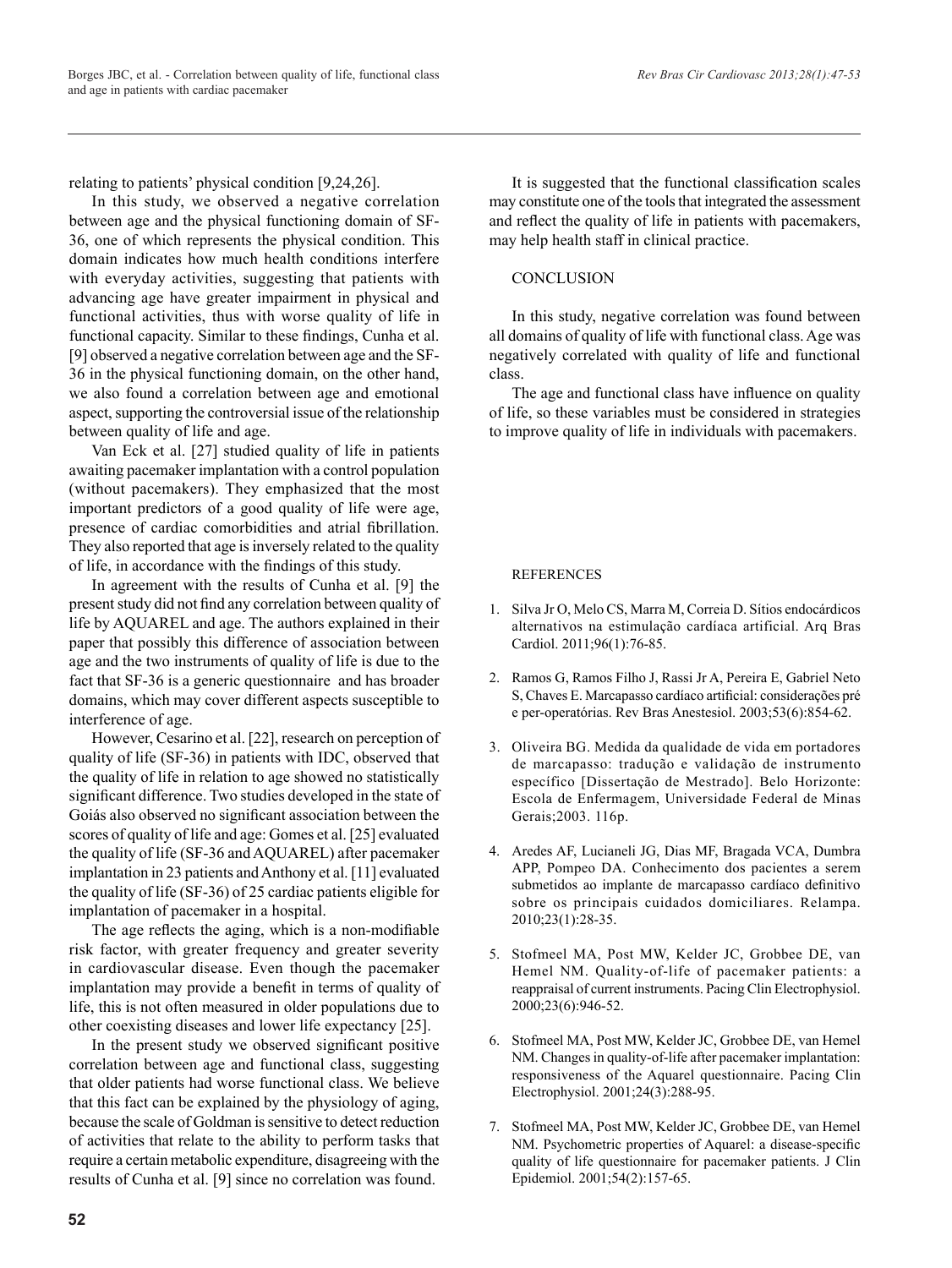relating to patients' physical condition [9,24,26].

In this study, we observed a negative correlation between age and the physical functioning domain of SF-36, one of which represents the physical condition. This domain indicates how much health conditions interfere with everyday activities, suggesting that patients with advancing age have greater impairment in physical and functional activities, thus with worse quality of life in functional capacity. Similar to these findings, Cunha et al. [9] observed a negative correlation between age and the SF-36 in the physical functioning domain, on the other hand, we also found a correlation between age and emotional aspect, supporting the controversial issue of the relationship between quality of life and age.

Van Eck et al. [27] studied quality of life in patients awaiting pacemaker implantation with a control population (without pacemakers). They emphasized that the most important predictors of a good quality of life were age, presence of cardiac comorbidities and atrial fibrillation. They also reported that age is inversely related to the quality of life, in accordance with the findings of this study.

In agreement with the results of Cunha et al. [9] the present study did not find any correlation between quality of life by AQUAREL and age. The authors explained in their paper that possibly this difference of association between age and the two instruments of quality of life is due to the fact that SF-36 is a generic questionnaire and has broader domains, which may cover different aspects susceptible to interference of age.

However, Cesarino et al. [22], research on perception of quality of life (SF-36) in patients with IDC, observed that the quality of life in relation to age showed no statistically significant difference. Two studies developed in the state of Goiás also observed no significant association between the scores of quality of life and age: Gomes et al. [25] evaluated the quality of life (SF-36 and AQUAREL) after pacemaker implantation in 23 patients and Anthony et al. [11] evaluated the quality of life (SF-36) of 25 cardiac patients eligible for implantation of pacemaker in a hospital.

The age reflects the aging, which is a non-modifiable risk factor, with greater frequency and greater severity in cardiovascular disease. Even though the pacemaker implantation may provide a benefit in terms of quality of life, this is not often measured in older populations due to other coexisting diseases and lower life expectancy [25].

In the present study we observed significant positive correlation between age and functional class, suggesting that older patients had worse functional class. We believe that this fact can be explained by the physiology of aging, because the scale of Goldman is sensitive to detect reduction of activities that relate to the ability to perform tasks that require a certain metabolic expenditure, disagreeing with the results of Cunha et al. [9] since no correlation was found.

It is suggested that the functional classification scales may constitute one of the tools that integrated the assessment and reflect the quality of life in patients with pacemakers, may help health staff in clinical practice.

## **CONCLUSION**

In this study, negative correlation was found between all domains of quality of life with functional class. Age was negatively correlated with quality of life and functional class.

The age and functional class have influence on quality of life, so these variables must be considered in strategies to improve quality of life in individuals with pacemakers.

## **REFERENCES**

- 1. Silva Jr O, Melo CS, Marra M, Correia D. Sítios endocárdicos alternativos na estimulação cardíaca artificial. Arq Bras Cardiol. 2011;96(1):76-85.
- 2. Ramos G, Ramos Filho J, Rassi Jr A, Pereira E, Gabriel Neto S, Chaves E. Marcapasso cardíaco artificial: considerações pré e per-operatórias. Rev Bras Anestesiol. 2003;53(6):854-62.
- 3. Oliveira BG. Medida da qualidade de vida em portadores de marcapasso: tradução e validação de instrumento específico [Dissertação de Mestrado]. Belo Horizonte: Escola de Enfermagem, Universidade Federal de Minas Gerais;2003. 116p.
- 4. Aredes AF, Lucianeli JG, Dias MF, Bragada VCA, Dumbra APP, Pompeo DA. Conhecimento dos pacientes a serem submetidos ao implante de marcapasso cardíaco definitivo sobre os principais cuidados domiciliares. Relampa. 2010;23(1):28-35.
- 5. Stofmeel MA, Post MW, Kelder JC, Grobbee DE, van Hemel NM. Quality-of-life of pacemaker patients: a reappraisal of current instruments. Pacing Clin Electrophysiol. 2000;23(6):946-52.
- 6. Stofmeel MA, Post MW, Kelder JC, Grobbee DE, van Hemel NM. Changes in quality-of-life after pacemaker implantation: responsiveness of the Aquarel questionnaire. Pacing Clin Electrophysiol. 2001;24(3):288-95.
- 7. Stofmeel MA, Post MW, Kelder JC, Grobbee DE, van Hemel NM. Psychometric properties of Aquarel: a disease-specific quality of life questionnaire for pacemaker patients. J Clin Epidemiol. 2001;54(2):157-65.